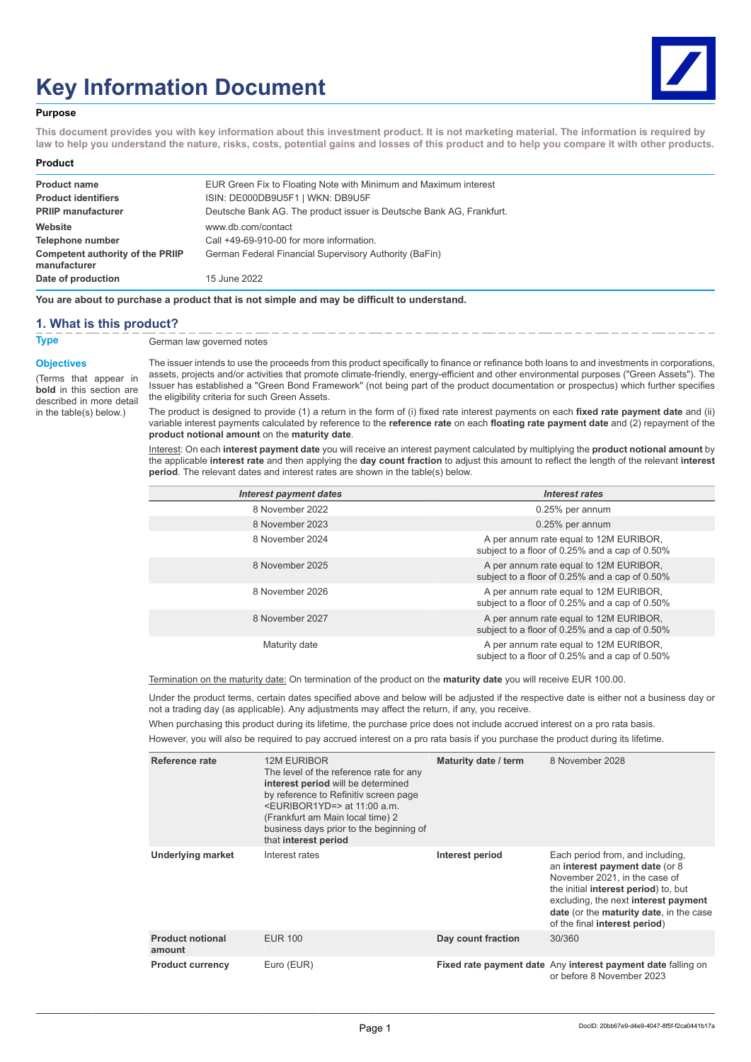# **Key Information Document**



### **Purpose**

**This document provides you with key information about this investment product. It is not marketing material. The information is required by law to help you understand the nature, risks, costs, potential gains and losses of this product and to help you compare it with other products.**

#### **Product**

| <b>Product name</b>                                     | EUR Green Fix to Floating Note with Minimum and Maximum interest     |
|---------------------------------------------------------|----------------------------------------------------------------------|
| <b>Product identifiers</b>                              | ISIN: DE000DB9U5F1   WKN: DB9U5F                                     |
| <b>PRIIP manufacturer</b>                               | Deutsche Bank AG. The product issuer is Deutsche Bank AG, Frankfurt. |
| Website                                                 | www.db.com/contact                                                   |
| Telephone number                                        | Call +49-69-910-00 for more information.                             |
| <b>Competent authority of the PRIIP</b><br>manufacturer | German Federal Financial Supervisory Authority (BaFin)               |
| Date of production                                      | 15 June 2022                                                         |

**You are about to purchase a product that is not simple and may be difficult to understand.**

## **1. What is this product?**

**Type** German law governed notes

#### **Objectives**

(Terms that appear in **bold** in this section are described in more detail in the table(s) below.)

The issuer intends to use the proceeds from this product specifically to finance or refinance both loans to and investments in corporations, assets, projects and/or activities that promote climate-friendly, energy-efficient and other environmental purposes ("Green Assets"). The Issuer has established a "Green Bond Framework" (not being part of the product documentation or prospectus) which further specifies the eligibility criteria for such Green Assets.

The product is designed to provide (1) a return in the form of (i) fixed rate interest payments on each **fixed rate payment date** and (ii) variable interest payments calculated by reference to the **reference rate** on each **floating rate payment date** and (2) repayment of the **product notional amount** on the **maturity date**.

Interest: On each **interest payment date** you will receive an interest payment calculated by multiplying the **product notional amount** by the applicable **interest rate** and then applying the **day count fraction** to adjust this amount to reflect the length of the relevant **interest period**. The relevant dates and interest rates are shown in the table(s) below.

| Interest payment dates | Interest rates                                                                           |
|------------------------|------------------------------------------------------------------------------------------|
| 8 November 2022        | 0.25% per annum                                                                          |
| 8 November 2023        | 0.25% per annum                                                                          |
| 8 November 2024        | A per annum rate equal to 12M EURIBOR,<br>subject to a floor of 0.25% and a cap of 0.50% |
| 8 November 2025        | A per annum rate equal to 12M EURIBOR,<br>subject to a floor of 0.25% and a cap of 0.50% |
| 8 November 2026        | A per annum rate equal to 12M EURIBOR,<br>subject to a floor of 0.25% and a cap of 0.50% |
| 8 November 2027        | A per annum rate equal to 12M EURIBOR,<br>subject to a floor of 0.25% and a cap of 0.50% |
| Maturity date          | A per annum rate equal to 12M EURIBOR,<br>subject to a floor of 0.25% and a cap of 0.50% |

Termination on the maturity date: On termination of the product on the **maturity date** you will receive EUR 100.00.

Under the product terms, certain dates specified above and below will be adjusted if the respective date is either not a business day or not a trading day (as applicable). Any adjustments may affect the return, if any, you receive.

When purchasing this product during its lifetime, the purchase price does not include accrued interest on a pro rata basis.

However, you will also be required to pay accrued interest on a pro rata basis if you purchase the product during its lifetime.

| Reference rate                    | <b>12M EURIBOR</b><br>The level of the reference rate for any<br>interest period will be determined<br>by reference to Refinitiv screen page<br><euribor1yd=> at 11:00 a.m.<br/>(Frankfurt am Main local time) 2<br/>business days prior to the beginning of<br/>that interest period</euribor1yd=> | Maturity date / term | 8 November 2028                                                                                                                                                                                                                                                         |
|-----------------------------------|-----------------------------------------------------------------------------------------------------------------------------------------------------------------------------------------------------------------------------------------------------------------------------------------------------|----------------------|-------------------------------------------------------------------------------------------------------------------------------------------------------------------------------------------------------------------------------------------------------------------------|
| <b>Underlying market</b>          | Interest rates                                                                                                                                                                                                                                                                                      | Interest period      | Each period from, and including,<br>an interest payment date (or 8<br>November 2021, in the case of<br>the initial <b>interest period</b> ) to, but<br>excluding, the next interest payment<br>date (or the maturity date, in the case<br>of the final interest period) |
| <b>Product notional</b><br>amount | <b>EUR 100</b>                                                                                                                                                                                                                                                                                      | Day count fraction   | 30/360                                                                                                                                                                                                                                                                  |
| <b>Product currency</b>           | Euro (EUR)                                                                                                                                                                                                                                                                                          |                      | Fixed rate payment date Any interest payment date falling on<br>or before 8 November 2023                                                                                                                                                                               |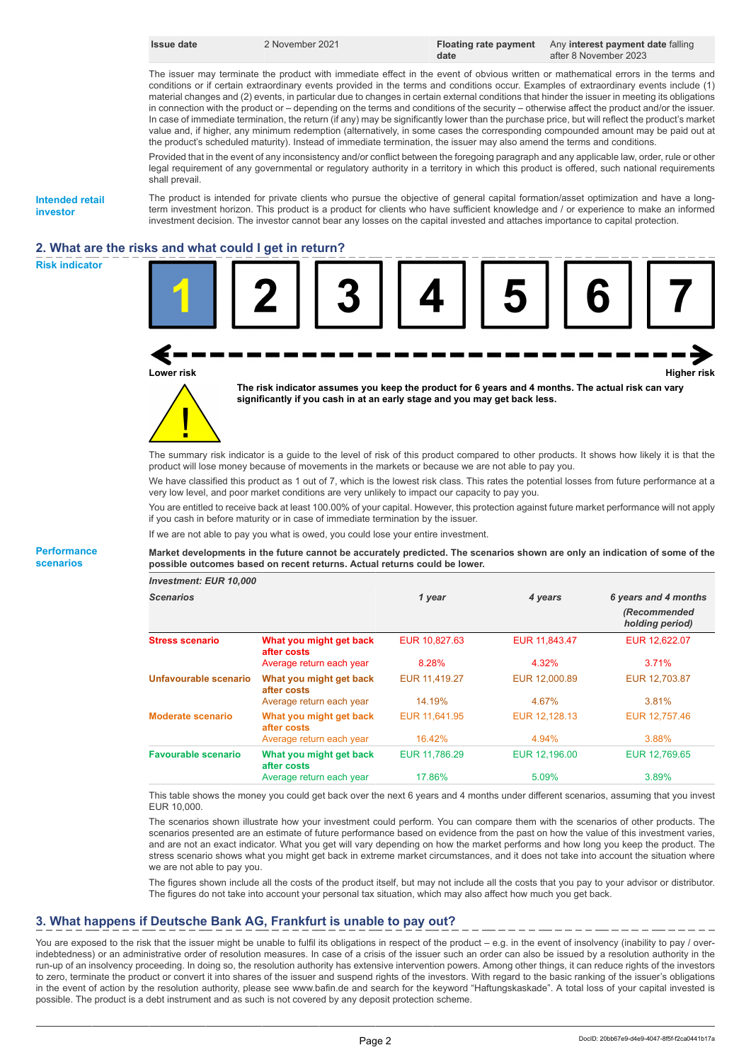| <b>Issue date</b> |  |
|-------------------|--|
|-------------------|--|

**Issue date** 2 November 2021 **Floating rate payment date**

Any **interest payment date** falling after 8 November 2023

The issuer may terminate the product with immediate effect in the event of obvious written or mathematical errors in the terms and conditions or if certain extraordinary events provided in the terms and conditions occur. Examples of extraordinary events include (1) material changes and (2) events, in particular due to changes in certain external conditions that hinder the issuer in meeting its obligations in connection with the product or – depending on the terms and conditions of the security – otherwise affect the product and/or the issuer. In case of immediate termination, the return (if any) may be significantly lower than the purchase price, but will reflect the product's market value and, if higher, any minimum redemption (alternatively, in some cases the corresponding compounded amount may be paid out at the product's scheduled maturity). Instead of immediate termination, the issuer may also amend the terms and conditions.

Provided that in the event of any inconsistency and/or conflict between the foregoing paragraph and any applicable law, order, rule or other legal requirement of any governmental or regulatory authority in a territory in which this product is offered, such national requirements shall prevail.

**Intended retail investor**

The product is intended for private clients who pursue the objective of general capital formation/asset optimization and have a longterm investment horizon. This product is a product for clients who have sufficient knowledge and / or experience to make an informed investment decision. The investor cannot bear any losses on the capital invested and attaches importance to capital protection.

# **2. What are the risks and what could I get in return?**





**Lower risk Higher risk**



**The risk indicator assumes you keep the product for 6 years and 4 months. The actual risk can vary significantly if you cash in at an early stage and you may get back less.**

The summary risk indicator is a guide to the level of risk of this product compared to other products. It shows how likely it is that the product will lose money because of movements in the markets or because we are not able to pay you.

We have classified this product as 1 out of 7, which is the lowest risk class. This rates the potential losses from future performance at a very low level, and poor market conditions are very unlikely to impact our capacity to pay you.

You are entitled to receive back at least 100.00% of your capital. However, this protection against future market performance will not apply if you cash in before maturity or in case of immediate termination by the issuer.

If we are not able to pay you what is owed, you could lose your entire investment.

**Market developments in the future cannot be accurately predicted. The scenarios shown are only an indication of some of the possible outcomes based on recent returns. Actual returns could be lower.**

| <b>Investment: EUR 10,000</b> |                                        |               |               |                                                         |
|-------------------------------|----------------------------------------|---------------|---------------|---------------------------------------------------------|
| <b>Scenarios</b>              |                                        | 1 year        | 4 years       | 6 years and 4 months<br>(Recommended<br>holding period) |
| <b>Stress scenario</b>        | What you might get back<br>after costs | EUR 10.827.63 | EUR 11,843.47 | EUR 12,622.07                                           |
|                               | Average return each year               | 8.28%         | 4.32%         | 3.71%                                                   |
| Unfavourable scenario         | What you might get back<br>after costs | EUR 11,419.27 | EUR 12,000.89 | EUR 12,703.87                                           |
|                               | Average return each year               | 14.19%        | 4.67%         | 3.81%                                                   |
| Moderate scenario             | What you might get back<br>after costs | EUR 11.641.95 | EUR 12.128.13 | EUR 12,757.46                                           |
|                               | Average return each year               | 16.42%        | 4.94%         | 3.88%                                                   |
| <b>Favourable scenario</b>    | What you might get back<br>after costs | EUR 11.786.29 | EUR 12,196.00 | EUR 12.769.65                                           |
|                               | Average return each year               | 17.86%        | 5.09%         | 3.89%                                                   |

This table shows the money you could get back over the next 6 years and 4 months under different scenarios, assuming that you invest EUR 10,000.

The scenarios shown illustrate how your investment could perform. You can compare them with the scenarios of other products. The scenarios presented are an estimate of future performance based on evidence from the past on how the value of this investment varies, and are not an exact indicator. What you get will vary depending on how the market performs and how long you keep the product. The stress scenario shows what you might get back in extreme market circumstances, and it does not take into account the situation where we are not able to pay you.

The figures shown include all the costs of the product itself, but may not include all the costs that you pay to your advisor or distributor. The figures do not take into account your personal tax situation, which may also affect how much you get back.

# **3. What happens if Deutsche Bank AG, Frankfurt is unable to pay out?**

You are exposed to the risk that the issuer might be unable to fulfil its obligations in respect of the product – e.g. in the event of insolvency (inability to pay / overindebtedness) or an administrative order of resolution measures. In case of a crisis of the issuer such an order can also be issued by a resolution authority in the run-up of an insolvency proceeding. In doing so, the resolution authority has extensive intervention powers. Among other things, it can reduce rights of the investors to zero, terminate the product or convert it into shares of the issuer and suspend rights of the investors. With regard to the basic ranking of the issuer's obligations in the event of action by the resolution authority, please see www.bafin.de and search for the keyword "Haftungskaskade". A total loss of your capital invested is possible. The product is a debt instrument and as such is not covered by any deposit protection scheme.

**Performance scenarios**